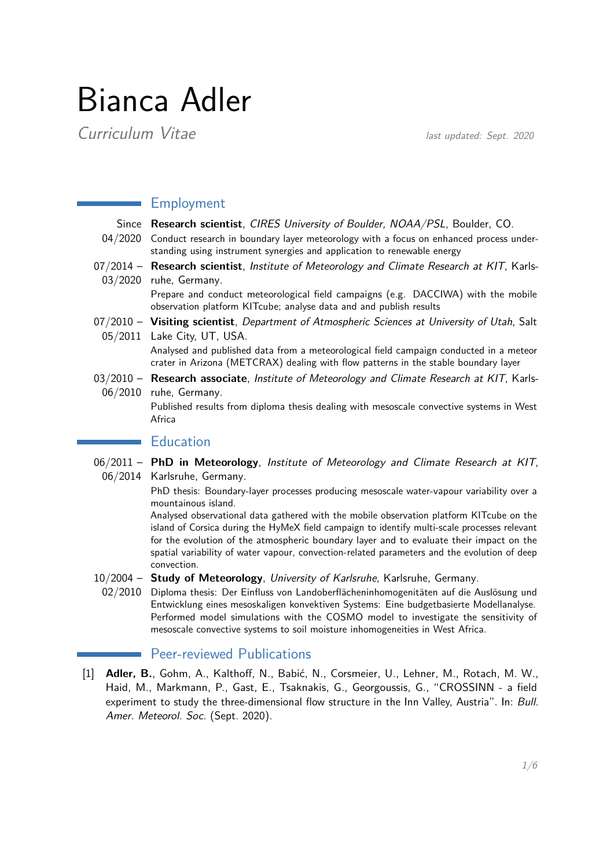# Bianca Adler

**Curriculum Vitae** last updated: Sept. 2020

## Employment

Since **Research scientist**, CIRES University of Boulder, NOAA/PSL, Boulder, CO.

- 04/2020 Conduct research in boundary layer meteorology with a focus on enhanced process understanding using instrument synergies and application to renewable energy
- 07/2014 **Research scientist**, Institute of Meteorology and Climate Research at KIT, Karls-03/2020 ruhe, Germany.

Prepare and conduct meteorological field campaigns (e.g. DACCIWA) with the mobile observation platform KITcube; analyse data and and publish results

07/2010 – **Visiting scientist**, Department of Atmospheric Sciences at University of Utah, Salt 05/2011 Lake City, UT, USA.

> Analysed and published data from a meteorological field campaign conducted in a meteor crater in Arizona (METCRAX) dealing with flow patterns in the stable boundary layer

03/2010 – **Research associate**, Institute of Meteorology and Climate Research at KIT, Karls-06/2010 ruhe, Germany.

> Published results from diploma thesis dealing with mesoscale convective systems in West Africa

# **Education**

06/2011 – **PhD in Meteorology**, Institute of Meteorology and Climate Research at KIT, 06/2014 Karlsruhe, Germany.

> PhD thesis: Boundary-layer processes producing mesoscale water-vapour variability over a mountainous island.

> Analysed observational data gathered with the mobile observation platform KITcube on the island of Corsica during the HyMeX field campaign to identify multi-scale processes relevant for the evolution of the atmospheric boundary layer and to evaluate their impact on the spatial variability of water vapour, convection-related parameters and the evolution of deep convection.

- 10/2004 **Study of Meteorology**, University of Karlsruhe, Karlsruhe, Germany.
	- 02/2010 Diploma thesis: Der Einfluss von Landoberflächeninhomogenitäten auf die Auslösung und Entwicklung eines mesoskaligen konvektiven Systems: Eine budgetbasierte Modellanalyse. Performed model simulations with the COSMO model to investigate the sensitivity of mesoscale convective systems to soil moisture inhomogeneities in West Africa.

# Peer-reviewed Publications

[1] **Adler, B.**, Gohm, A., Kalthoff, N., Babić, N., Corsmeier, U., Lehner, M., Rotach, M. W., Haid, M., Markmann, P., Gast, E., Tsaknakis, G., Georgoussis, G., "CROSSINN - a field experiment to study the three-dimensional flow structure in the Inn Valley, Austria". In: Bull. Amer. Meteorol. Soc. (Sept. 2020).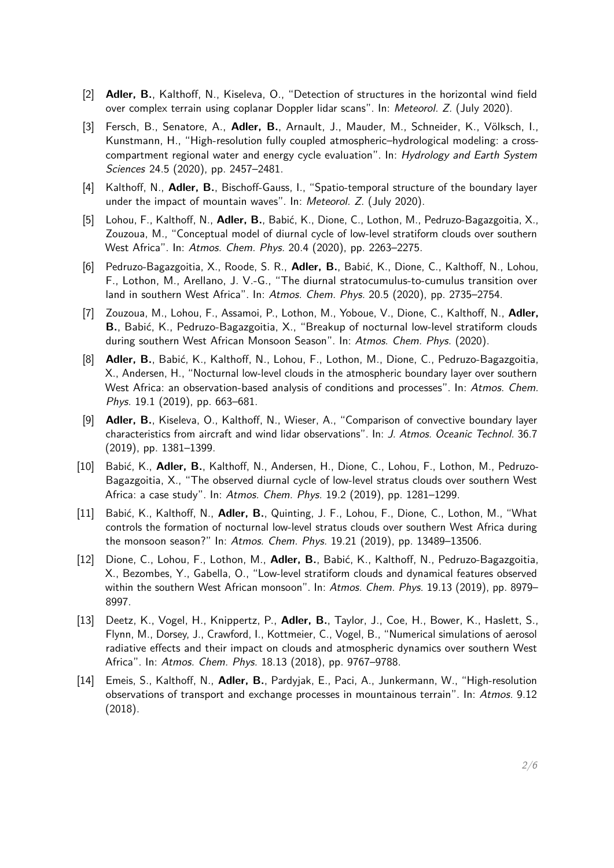- [2] **Adler, B.**, Kalthoff, N., Kiseleva, O., "Detection of structures in the horizontal wind field over complex terrain using coplanar Doppler lidar scans". In: Meteorol. Z. (July 2020).
- [3] Fersch, B., Senatore, A., **Adler, B.**, Arnault, J., Mauder, M., Schneider, K., Völksch, I., Kunstmann, H., "High-resolution fully coupled atmospheric–hydrological modeling: a crosscompartment regional water and energy cycle evaluation". In: Hydrology and Earth System Sciences 24.5 (2020), pp. 2457–2481.
- [4] Kalthoff, N., **Adler, B.**, Bischoff-Gauss, I., "Spatio-temporal structure of the boundary layer under the impact of mountain waves". In: Meteorol. Z. (July 2020).
- [5] Lohou, F., Kalthoff, N., **Adler, B.**, Babić, K., Dione, C., Lothon, M., Pedruzo-Bagazgoitia, X., Zouzoua, M., "Conceptual model of diurnal cycle of low-level stratiform clouds over southern West Africa". In: Atmos. Chem. Phys. 20.4 (2020), pp. 2263–2275.
- [6] Pedruzo-Bagazgoitia, X., Roode, S. R., **Adler, B.**, Babić, K., Dione, C., Kalthoff, N., Lohou, F., Lothon, M., Arellano, J. V.-G., "The diurnal stratocumulus-to-cumulus transition over land in southern West Africa". In: Atmos. Chem. Phys. 20.5 (2020), pp. 2735–2754.
- [7] Zouzoua, M., Lohou, F., Assamoi, P., Lothon, M., Yoboue, V., Dione, C., Kalthoff, N., **Adler, B.**, Babić, K., Pedruzo-Bagazgoitia, X., "Breakup of nocturnal low-level stratiform clouds during southern West African Monsoon Season". In: Atmos. Chem. Phys. (2020).
- [8] **Adler, B.**, Babić, K., Kalthoff, N., Lohou, F., Lothon, M., Dione, C., Pedruzo-Bagazgoitia, X., Andersen, H., "Nocturnal low-level clouds in the atmospheric boundary layer over southern West Africa: an observation-based analysis of conditions and processes". In: Atmos. Chem. Phys. 19.1 (2019), pp. 663–681.
- [9] **Adler, B.**, Kiseleva, O., Kalthoff, N., Wieser, A., "Comparison of convective boundary layer characteristics from aircraft and wind lidar observations". In: J. Atmos. Oceanic Technol. 36.7 (2019), pp. 1381–1399.
- [10] Babić, K., **Adler, B.**, Kalthoff, N., Andersen, H., Dione, C., Lohou, F., Lothon, M., Pedruzo-Bagazgoitia, X., "The observed diurnal cycle of low-level stratus clouds over southern West Africa: a case study". In: Atmos. Chem. Phys. 19.2 (2019), pp. 1281–1299.
- [11] Babić, K., Kalthoff, N., **Adler, B.**, Quinting, J. F., Lohou, F., Dione, C., Lothon, M., "What controls the formation of nocturnal low-level stratus clouds over southern West Africa during the monsoon season?" In: Atmos. Chem. Phys. 19.21 (2019), pp. 13489–13506.
- [12] Dione, C., Lohou, F., Lothon, M., **Adler, B.**, Babić, K., Kalthoff, N., Pedruzo-Bagazgoitia, X., Bezombes, Y., Gabella, O., "Low-level stratiform clouds and dynamical features observed within the southern West African monsoon". In: Atmos. Chem. Phys. 19.13 (2019), pp. 8979– 8997.
- [13] Deetz, K., Vogel, H., Knippertz, P., **Adler, B.**, Taylor, J., Coe, H., Bower, K., Haslett, S., Flynn, M., Dorsey, J., Crawford, I., Kottmeier, C., Vogel, B., "Numerical simulations of aerosol radiative effects and their impact on clouds and atmospheric dynamics over southern West Africa". In: Atmos. Chem. Phys. 18.13 (2018), pp. 9767–9788.
- [14] Emeis, S., Kalthoff, N., **Adler, B.**, Pardyjak, E., Paci, A., Junkermann, W., "High-resolution observations of transport and exchange processes in mountainous terrain". In: Atmos. 9.12 (2018).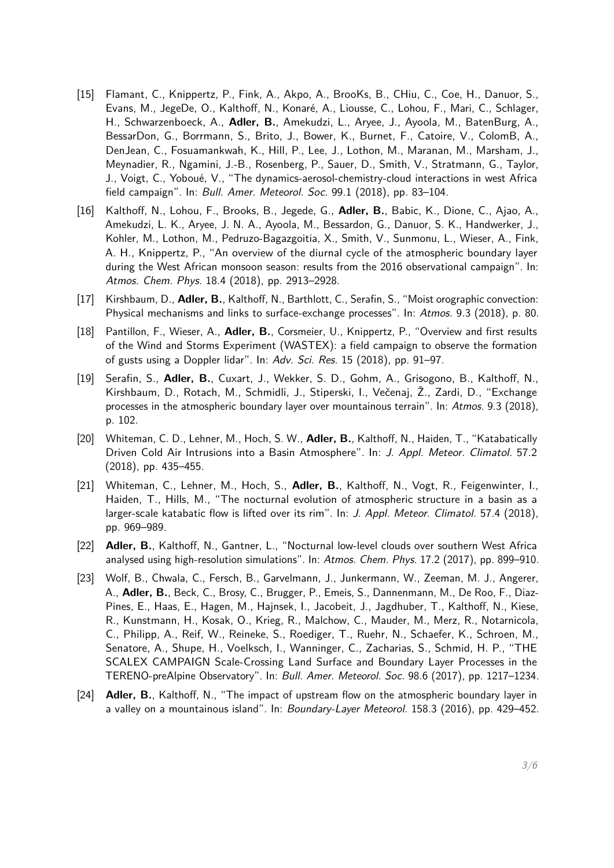- [15] Flamant, C., Knippertz, P., Fink, A., Akpo, A., BrooKs, B., CHiu, C., Coe, H., Danuor, S., Evans, M., JegeDe, O., Kalthoff, N., Konaré, A., Liousse, C., Lohou, F., Mari, C., Schlager, H., Schwarzenboeck, A., **Adler, B.**, Amekudzi, L., Aryee, J., Ayoola, M., BatenBurg, A., BessarDon, G., Borrmann, S., Brito, J., Bower, K., Burnet, F., Catoire, V., ColomB, A., DenJean, C., Fosuamankwah, K., Hill, P., Lee, J., Lothon, M., Maranan, M., Marsham, J., Meynadier, R., Ngamini, J.-B., Rosenberg, P., Sauer, D., Smith, V., Stratmann, G., Taylor, J., Voigt, C., Yoboué, V., "The dynamics-aerosol-chemistry-cloud interactions in west Africa field campaign". In: Bull. Amer. Meteorol. Soc. 99.1 (2018), pp. 83–104.
- [16] Kalthoff, N., Lohou, F., Brooks, B., Jegede, G., **Adler, B.**, Babic, K., Dione, C., Ajao, A., Amekudzi, L. K., Aryee, J. N. A., Ayoola, M., Bessardon, G., Danuor, S. K., Handwerker, J., Kohler, M., Lothon, M., Pedruzo-Bagazgoitia, X., Smith, V., Sunmonu, L., Wieser, A., Fink, A. H., Knippertz, P., "An overview of the diurnal cycle of the atmospheric boundary layer during the West African monsoon season: results from the 2016 observational campaign". In: Atmos. Chem. Phys. 18.4 (2018), pp. 2913–2928.
- [17] Kirshbaum, D., **Adler, B.**, Kalthoff, N., Barthlott, C., Serafin, S., "Moist orographic convection: Physical mechanisms and links to surface-exchange processes". In: Atmos. 9.3 (2018), p. 80.
- [18] Pantillon, F., Wieser, A., **Adler, B.**, Corsmeier, U., Knippertz, P., "Overview and first results of the Wind and Storms Experiment (WASTEX): a field campaign to observe the formation of gusts using a Doppler lidar". In: Adv. Sci. Res. 15 (2018), pp. 91–97.
- [19] Serafin, S., **Adler, B.**, Cuxart, J., Wekker, S. D., Gohm, A., Grisogono, B., Kalthoff, N., Kirshbaum, D., Rotach, M., Schmidli, J., Stiperski, I., Večenaj, Ž., Zardi, D., "Exchange processes in the atmospheric boundary layer over mountainous terrain". In: Atmos. 9.3 (2018), p. 102.
- [20] Whiteman, C. D., Lehner, M., Hoch, S. W., **Adler, B.**, Kalthoff, N., Haiden, T., "Katabatically Driven Cold Air Intrusions into a Basin Atmosphere". In: J. Appl. Meteor. Climatol. 57.2 (2018), pp. 435–455.
- [21] Whiteman, C., Lehner, M., Hoch, S., **Adler, B.**, Kalthoff, N., Vogt, R., Feigenwinter, I., Haiden, T., Hills, M., "The nocturnal evolution of atmospheric structure in a basin as a larger-scale katabatic flow is lifted over its rim". In: J. Appl. Meteor. Climatol. 57.4 (2018), pp. 969–989.
- [22] **Adler, B.**, Kalthoff, N., Gantner, L., "Nocturnal low-level clouds over southern West Africa analysed using high-resolution simulations". In: Atmos. Chem. Phys. 17.2 (2017), pp. 899–910.
- [23] Wolf, B., Chwala, C., Fersch, B., Garvelmann, J., Junkermann, W., Zeeman, M. J., Angerer, A., **Adler, B.**, Beck, C., Brosy, C., Brugger, P., Emeis, S., Dannenmann, M., De Roo, F., Diaz-Pines, E., Haas, E., Hagen, M., Hajnsek, I., Jacobeit, J., Jagdhuber, T., Kalthoff, N., Kiese, R., Kunstmann, H., Kosak, O., Krieg, R., Malchow, C., Mauder, M., Merz, R., Notarnicola, C., Philipp, A., Reif, W., Reineke, S., Roediger, T., Ruehr, N., Schaefer, K., Schroen, M., Senatore, A., Shupe, H., Voelksch, I., Wanninger, C., Zacharias, S., Schmid, H. P., "THE SCALEX CAMPAIGN Scale-Crossing Land Surface and Boundary Layer Processes in the TERENO-preAlpine Observatory". In: Bull. Amer. Meteorol. Soc. 98.6 (2017), pp. 1217–1234.
- [24] **Adler, B.**, Kalthoff, N., "The impact of upstream flow on the atmospheric boundary layer in a valley on a mountainous island". In: Boundary-Layer Meteorol. 158.3 (2016), pp. 429–452.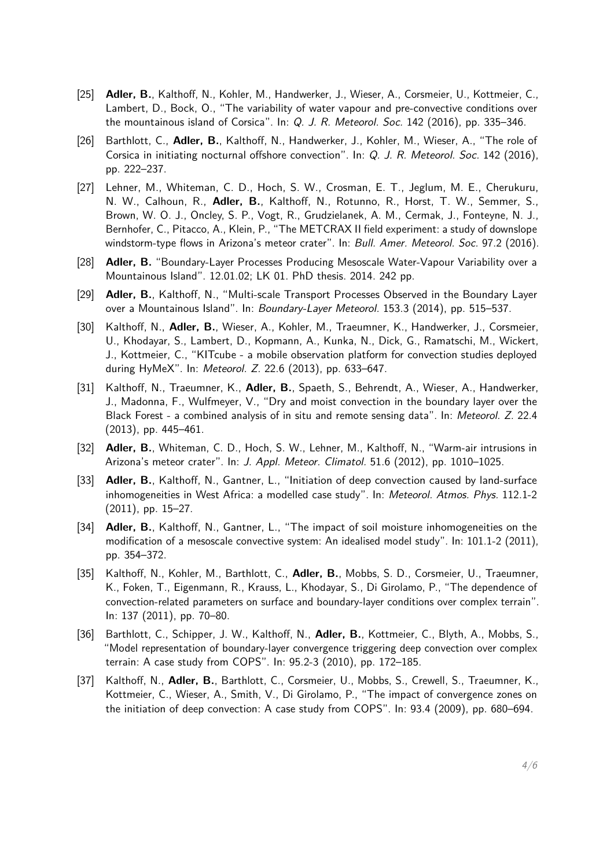- [25] **Adler, B.**, Kalthoff, N., Kohler, M., Handwerker, J., Wieser, A., Corsmeier, U., Kottmeier, C., Lambert, D., Bock, O., "The variability of water vapour and pre-convective conditions over the mountainous island of Corsica". In: Q. J. R. Meteorol. Soc. 142 (2016), pp. 335–346.
- [26] Barthlott, C., **Adler, B.**, Kalthoff, N., Handwerker, J., Kohler, M., Wieser, A., "The role of Corsica in initiating nocturnal offshore convection". In: Q. J. R. Meteorol. Soc. 142 (2016), pp. 222–237.
- [27] Lehner, M., Whiteman, C. D., Hoch, S. W., Crosman, E. T., Jeglum, M. E., Cherukuru, N. W., Calhoun, R., **Adler, B.**, Kalthoff, N., Rotunno, R., Horst, T. W., Semmer, S., Brown, W. O. J., Oncley, S. P., Vogt, R., Grudzielanek, A. M., Cermak, J., Fonteyne, N. J., Bernhofer, C., Pitacco, A., Klein, P., "The METCRAX II field experiment: a study of downslope windstorm-type flows in Arizona's meteor crater". In: Bull. Amer. Meteorol. Soc. 97.2 (2016).
- [28] **Adler, B.** "Boundary-Layer Processes Producing Mesoscale Water-Vapour Variability over a Mountainous Island". 12.01.02; LK 01. PhD thesis. 2014. 242 pp.
- [29] **Adler, B.**, Kalthoff, N., "Multi-scale Transport Processes Observed in the Boundary Layer over a Mountainous Island". In: Boundary-Layer Meteorol. 153.3 (2014), pp. 515–537.
- [30] Kalthoff, N., **Adler, B.**, Wieser, A., Kohler, M., Traeumner, K., Handwerker, J., Corsmeier, U., Khodayar, S., Lambert, D., Kopmann, A., Kunka, N., Dick, G., Ramatschi, M., Wickert, J., Kottmeier, C., "KITcube - a mobile observation platform for convection studies deployed during HyMeX". In: Meteorol. Z. 22.6 (2013), pp. 633–647.
- [31] Kalthoff, N., Traeumner, K., **Adler, B.**, Spaeth, S., Behrendt, A., Wieser, A., Handwerker, J., Madonna, F., Wulfmeyer, V., "Dry and moist convection in the boundary layer over the Black Forest - a combined analysis of in situ and remote sensing data". In: Meteorol. Z. 22.4 (2013), pp. 445–461.
- [32] **Adler, B.**, Whiteman, C. D., Hoch, S. W., Lehner, M., Kalthoff, N., "Warm-air intrusions in Arizona's meteor crater". In: J. Appl. Meteor. Climatol. 51.6 (2012), pp. 1010–1025.
- [33] **Adler, B.**, Kalthoff, N., Gantner, L., "Initiation of deep convection caused by land-surface inhomogeneities in West Africa: a modelled case study". In: Meteorol. Atmos. Phys. 112.1-2 (2011), pp. 15–27.
- [34] **Adler, B.**, Kalthoff, N., Gantner, L., "The impact of soil moisture inhomogeneities on the modification of a mesoscale convective system: An idealised model study". In: 101.1-2 (2011), pp. 354–372.
- [35] Kalthoff, N., Kohler, M., Barthlott, C., **Adler, B.**, Mobbs, S. D., Corsmeier, U., Traeumner, K., Foken, T., Eigenmann, R., Krauss, L., Khodayar, S., Di Girolamo, P., "The dependence of convection-related parameters on surface and boundary-layer conditions over complex terrain". In: 137 (2011), pp. 70–80.
- [36] Barthlott, C., Schipper, J. W., Kalthoff, N., **Adler, B.**, Kottmeier, C., Blyth, A., Mobbs, S., "Model representation of boundary-layer convergence triggering deep convection over complex terrain: A case study from COPS". In: 95.2-3 (2010), pp. 172–185.
- [37] Kalthoff, N., **Adler, B.**, Barthlott, C., Corsmeier, U., Mobbs, S., Crewell, S., Traeumner, K., Kottmeier, C., Wieser, A., Smith, V., Di Girolamo, P., "The impact of convergence zones on the initiation of deep convection: A case study from COPS". In: 93.4 (2009), pp. 680–694.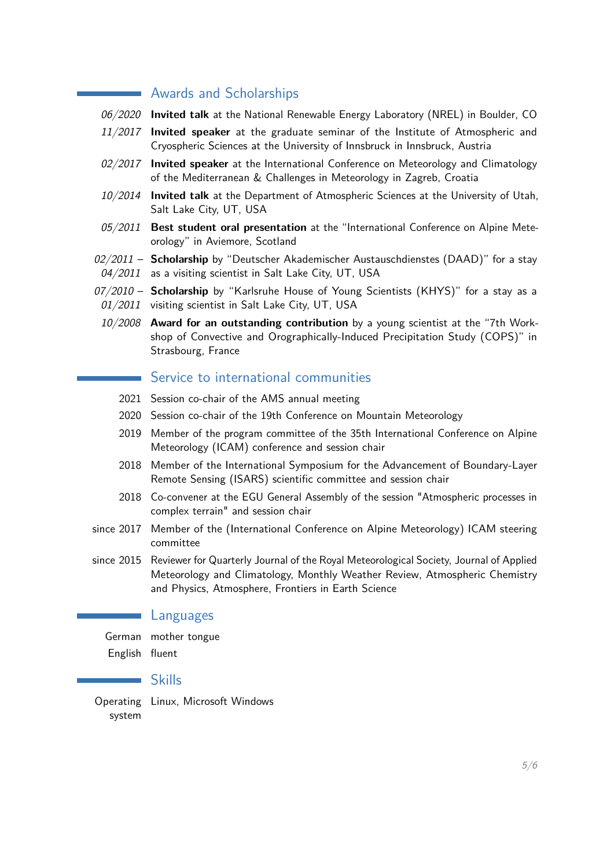#### **Awards and Scholarships**

- 06/2020 **Invited talk** at the National Renewable Energy Laboratory (NREL) in Boulder, CO
- 11/2017 **Invited speaker** at the graduate seminar of the Institute of Atmospheric and Cryospheric Sciences at the University of Innsbruck in Innsbruck, Austria
- 02/2017 **Invited speaker** at the International Conference on Meteorology and Climatology of the Mediterranean & Challenges in Meteorology in Zagreb, Croatia
- 10/2014 **Invited talk** at the Department of Atmospheric Sciences at the University of Utah, Salt Lake City, UT, USA
- 05/2011 **Best student oral presentation** at the "International Conference on Alpine Meteorology" in Aviemore, Scotland
- 02/2011 **Scholarship** by "Deutscher Akademischer Austauschdienstes (DAAD)" for a stay 04/2011 as a visiting scientist in Salt Lake City, UT, USA
- 07/2010 Scholarship by "Karlsruhe House of Young Scientists (KHYS)" for a stay as a 01/2011 visiting scientist in Salt Lake City, UT, USA
- 10/2008 **Award for an outstanding contribution** by a young scientist at the "7th Workshop of Convective and Orographically-Induced Precipitation Study (COPS)" in Strasbourg, France

### Service to international communities

- 2021 Session co-chair of the AMS annual meeting
- 2020 Session co-chair of the 19th Conference on Mountain Meteorology
- 2019 Member of the program committee of the 35th International Conference on Alpine Meteorology (ICAM) conference and session chair
- 2018 Member of the International Symposium for the Advancement of Boundary-Layer Remote Sensing (ISARS) scientific committee and session chair
- 2018 Co-convener at the EGU General Assembly of the session "Atmospheric processes in complex terrain" and session chair
- since 2017 Member of the (International Conference on Alpine Meteorology) ICAM steering committee
- since 2015 Reviewer for Quarterly Journal of the Royal Meteorological Society, Journal of Applied Meteorology and Climatology, Monthly Weather Review, Atmospheric Chemistry and Physics, Atmosphere, Frontiers in Earth Science

#### Languages

German mother tongue English fluent

#### Skills

<span id="page-4-0"></span>Operating Linux, Microsoft Windows system